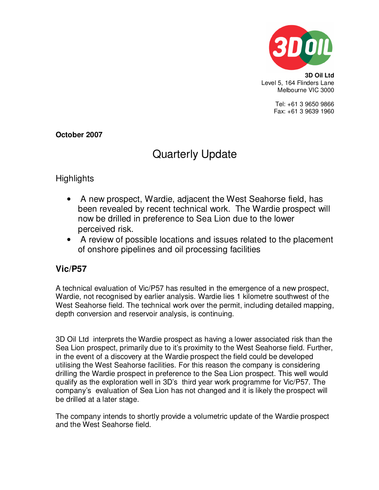

> Tel: +61 3 9650 9866 Fax: +61 3 9639 1960

#### **October 2007**

# Quarterly Update

## **Highlights**

- A new prospect, Wardie, adjacent the West Seahorse field, has been revealed by recent technical work. The Wardie prospect will now be drilled in preference to Sea Lion due to the lower perceived risk.
- A review of possible locations and issues related to the placement of onshore pipelines and oil processing facilities

## **Vic/P57**

A technical evaluation of Vic/P57 has resulted in the emergence of a new prospect, Wardie, not recognised by earlier analysis. Wardie lies 1 kilometre southwest of the West Seahorse field. The technical work over the permit, including detailed mapping, depth conversion and reservoir analysis, is continuing.

3D Oil Ltd interprets the Wardie prospect as having a lower associated risk than the Sea Lion prospect, primarily due to it's proximity to the West Seahorse field. Further, in the event of a discovery at the Wardie prospect the field could be developed utilising the West Seahorse facilities. For this reason the company is considering drilling the Wardie prospect in preference to the Sea Lion prospect. This well would qualify as the exploration well in 3D's third year work programme for Vic/P57. The company's evaluation of Sea Lion has not changed and it is likely the prospect will be drilled at a later stage.

The company intends to shortly provide a volumetric update of the Wardie prospect and the West Seahorse field.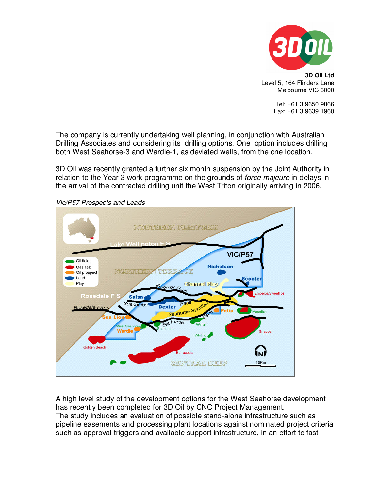

> Tel: +61 3 9650 9866 Fax: +61 3 9639 1960

The company is currently undertaking well planning, in conjunction with Australian Drilling Associates and considering its drilling options. One option includes drilling both West Seahorse-3 and Wardie-1, as deviated wells, from the one location.

3D Oil was recently granted a further six month suspension by the Joint Authority in relation to the Year 3 work programme on the grounds of force majeure in delays in the arrival of the contracted drilling unit the West Triton originally arriving in 2006.



Vic/P57 Prospects and Leads

A high level study of the development options for the West Seahorse development has recently been completed for 3D Oil by CNC Project Management. The study includes an evaluation of possible stand-alone infrastructure such as pipeline easements and processing plant locations against nominated project criteria such as approval triggers and available support infrastructure, in an effort to fast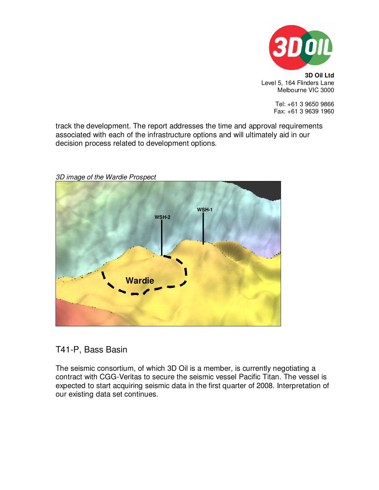

> Tel: +61 3 9650 9866 Fax: +61 3 9639 1960

track the development. The report addresses the time and approval requirements associated with each of the infrastructure options and will ultimately aid in our decision process related to development options.



3D image of the Wardie Prospect

#### T41-P, Bass Basin

The seismic consortium, of which 3D Oil is a member, is currently negotiating a contract with CGG-Veritas to secure the seismic vessel Pacific Titan. The vessel is expected to start acquiring seismic data in the first quarter of 2008. Interpretation of our existing data set continues.